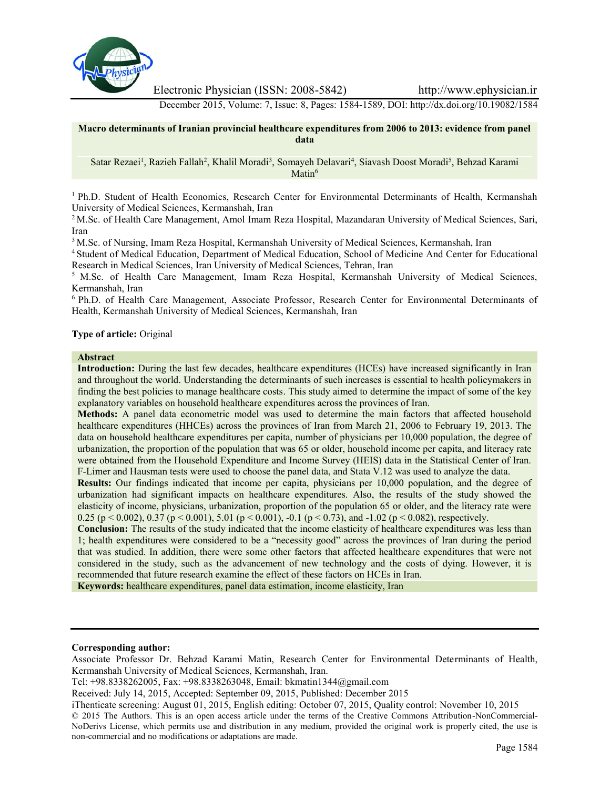

Electronic Physician (ISSN: 2008-5842) http://www.ephysician.ir

December 2015, Volume: 7, Issue: 8, Pages: 1584-1589, DOI: http://dx.doi.org/10.19082/1584

**Macro determinants of Iranian provincial healthcare expenditures from 2006 to 2013: evidence from panel data**

Satar Rezaei<sup>1</sup>, Razieh Fallah<sup>2</sup>, Khalil Moradi<sup>3</sup>, Somayeh Delavari<sup>4</sup>, Siavash Doost Moradi<sup>5</sup>, Behzad Karami Matin<sup>6</sup>

<sup>1</sup> Ph.D. Student of Health Economics, Research Center for Environmental Determinants of Health, Kermanshah University of Medical Sciences, Kermanshah, Iran

<sup>2</sup> M.Sc. of Health Care Management, Amol Imam Reza Hospital, Mazandaran University of Medical Sciences, Sari, Iran

<sup>3</sup> M.Sc. of Nursing, Imam Reza Hospital, Kermanshah University of Medical Sciences, Kermanshah, Iran

<sup>4</sup> Student of Medical Education, Department of Medical Education, School of Medicine And Center for Educational Research in Medical Sciences, Iran University of Medical Sciences, Tehran, Iran

<sup>5</sup> M.Sc. of Health Care Management, Imam Reza Hospital, Kermanshah University of Medical Sciences, Kermanshah, Iran

<sup>6</sup> Ph.D. of Health Care Management, Associate Professor, Research Center for Environmental Determinants of Health, Kermanshah University of Medical Sciences, Kermanshah, Iran

### **Type of article:** Original

#### **Abstract**

**Introduction:** During the last few decades, healthcare expenditures (HCEs) have increased significantly in Iran and throughout the world. Understanding the determinants of such increases is essential to health policymakers in finding the best policies to manage healthcare costs. This study aimed to determine the impact of some of the key explanatory variables on household healthcare expenditures across the provinces of Iran.

**Methods:** A panel data econometric model was used to determine the main factors that affected household healthcare expenditures (HHCEs) across the provinces of Iran from March 21, 2006 to February 19, 2013. The data on household healthcare expenditures per capita, number of physicians per 10,000 population, the degree of urbanization, the proportion of the population that was 65 or older, household income per capita, and literacy rate were obtained from the Household Expenditure and Income Survey (HEIS) data in the Statistical Center of Iran. F-Limer and Hausman tests were used to choose the panel data, and Stata V.12 was used to analyze the data.

**Results:** Our findings indicated that income per capita, physicians per 10,000 population, and the degree of urbanization had significant impacts on healthcare expenditures. Also, the results of the study showed the elasticity of income, physicians, urbanization, proportion of the population 65 or older, and the literacy rate were 0.25 (p < 0.002), 0.37 (p < 0.001), 5.01 (p < 0.001), -0.1 (p < 0.73), and -1.02 (p < 0.082), respectively.

**Conclusion:** The results of the study indicated that the income elasticity of healthcare expenditures was less than 1; health expenditures were considered to be a "necessity good" across the provinces of Iran during the period that was studied. In addition, there were some other factors that affected healthcare expenditures that were not considered in the study, such as the advancement of new technology and the costs of dying. However, it is recommended that future research examine the effect of these factors on HCEs in Iran.

**Keywords:** healthcare expenditures, panel data estimation, income elasticity, Iran

#### **Corresponding author:**

Associate Professor Dr. Behzad Karami Matin, Research Center for Environmental Determinants of Health, Kermanshah University of Medical Sciences, Kermanshah, Iran.

Tel: +98.8338262005, Fax: +98.8338263048, Email: bkmatin1344@gmail.com

Received: July 14, 2015, Accepted: September 09, 2015, Published: December 2015

iThenticate screening: August 01, 2015, English editing: October 07, 2015, Quality control: November 10, 2015 © 2015 The Authors. This is an open access article under the terms of the Creative Commons Attribution-NonCommercial- NoDerivs License, which permits use and distribution in any medium, provided the original work is properly cited, the use is non-commercial and no modifications or adaptations are made.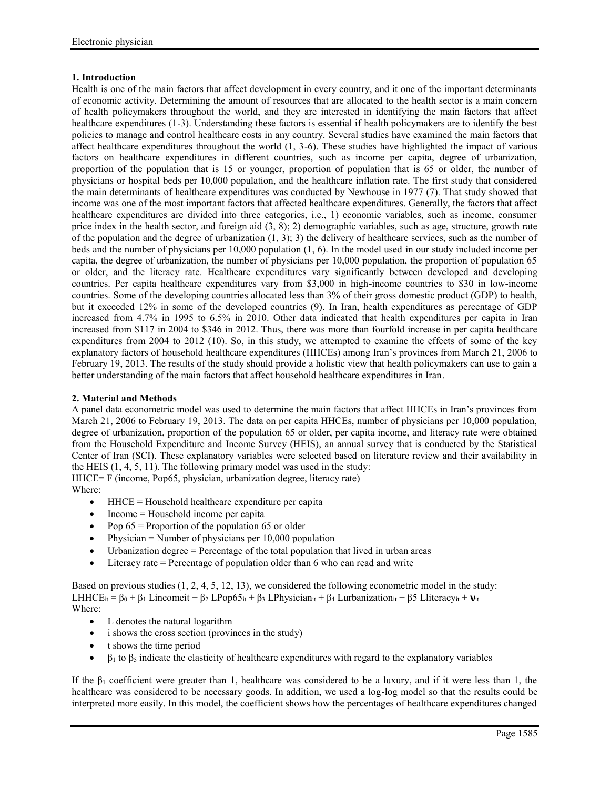# **1. Introduction**

Health is one of the main factors that affect development in every country, and it one of the important determinants of economic activity. Determining the amount of resources that are allocated to the health sector is a main concern of health policymakers throughout the world, and they are interested in identifying the main factors that affect healthcare expenditures (1-3). Understanding these factors is essential if health policymakers are to identify the best policies to manage and control healthcare costs in any country. Several studies have examined the main factors that affect healthcare expenditures throughout the world (1, 3-6). These studies have highlighted the impact of various factors on healthcare expenditures in different countries, such as income per capita, degree of urbanization, proportion of the population that is 15 or younger, proportion of population that is 65 or older, the number of physicians or hospital beds per 10,000 population, and the healthcare inflation rate. The first study that considered the main determinants of healthcare expenditures was conducted by Newhouse in 1977 (7). That study showed that income was one of the most important factors that affected healthcare expenditures. Generally, the factors that affect healthcare expenditures are divided into three categories, i.e., 1) economic variables, such as income, consumer price index in the health sector, and foreign aid  $(3, 8)$ ; 2) demographic variables, such as age, structure, growth rate of the population and the degree of urbanization  $(1, 3)$ ; 3) the delivery of healthcare services, such as the number of beds and the number of physicians per 10,000 population (1, 6). In the model used in our study included income per capita, the degree of urbanization, the number of physicians per 10,000 population, the proportion of population 65 or older, and the literacy rate. Healthcare expenditures vary significantly between developed and developing countries. Per capita healthcare expenditures vary from \$3,000 in high-income countries to \$30 in low-income countries. Some of the developing countries allocated less than 3% of their gross domestic product (GDP) to health, but it exceeded 12% in some of the developed countries (9). In Iran, health expenditures as percentage of GDP increased from 4.7% in 1995 to 6.5% in 2010. Other data indicated that health expenditures per capita in Iran increased from \$117 in 2004 to \$346 in 2012. Thus, there was more than fourfold increase in per capita healthcare expenditures from 2004 to 2012 (10). So, in this study, we attempted to examine the effects of some of the key explanatory factors of household healthcare expenditures (HHCEs) among Iran's provinces from March 21, 2006 to February 19, 2013. The results of the study should provide a holistic view that health policymakers can use to gain a better understanding of the main factors that affect household healthcare expenditures in Iran.

# **2. Material and Methods**

A panel data econometric model was used to determine the main factors that affect HHCEs in Iran's provinces from March 21, 2006 to February 19, 2013. The data on per capita HHCEs, number of physicians per 10,000 population, degree of urbanization, proportion of the population 65 or older, per capita income, and literacy rate were obtained from the Household Expenditure and Income Survey (HEIS), an annual survey that is conducted by the Statistical Center of Iran (SCI). These explanatory variables were selected based on literature review and their availability in the HEIS (1, 4, 5, 11). The following primary model was used in the study:

HHCE= F (income, Pop65, physician, urbanization degree, literacy rate) Where:

- $\bullet$  HHCE = Household healthcare expenditure per capita
- $\bullet$  Income = Household income per capita
- Pop  $65$  = Proportion of the population 65 or older
- $\bullet$  Physician = Number of physicians per 10,000 population
- $\bullet$  Urbanization degree = Percentage of the total population that lived in urban areas
- $\bullet$  Literacy rate = Percentage of population older than 6 who can read and write

Based on previous studies (1, 2, 4, 5, 12, 13), we considered the following econometric model in the study: LHHCE<sub>it</sub> =  $\beta_0 + \beta_1$  Lincomeit +  $\beta_2$  LPop65<sub>it</sub> +  $\beta_3$  LPhysician<sub>it</sub> +  $\beta_4$  Lurbanization<sub>it</sub> +  $\beta$ 5 Lliteracy<sub>it</sub> +  $\mathbf{v}_{\text{tr}}$ Where:

- L denotes the natural logarithm
- i shows the cross section (provinces in the study)
- t shows the time period
- $\bullet$  B<sub>1</sub> to  $\beta_5$  indicate the elasticity of healthcare expenditures with regard to the explanatory variables

If the β<sub>1</sub> coefficient were greater than 1, healthcare was considered to be a luxury, and if it were less than 1, the healthcare was considered to be necessary goods. In addition, we used a log-log model so that the results could be interpreted more easily. In this model, the coefficient shows how the percentages of healthcare expenditures changed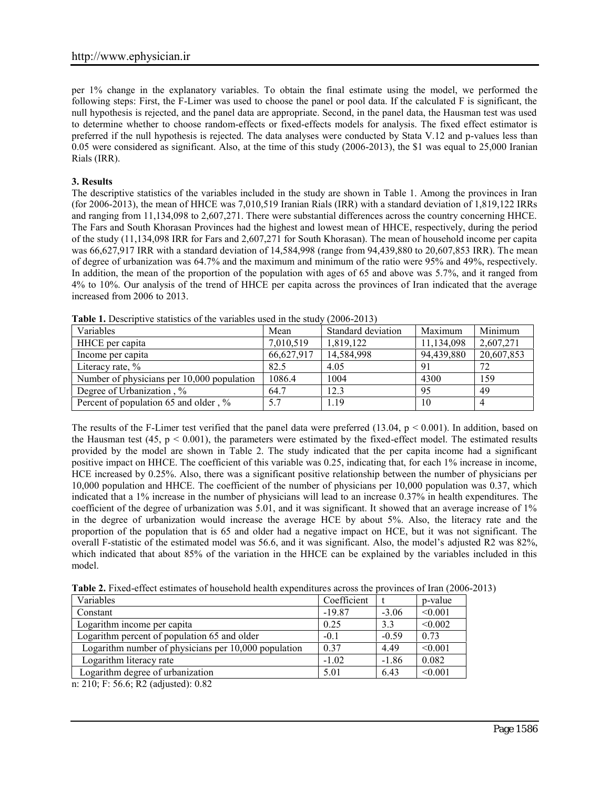per 1% change in the explanatory variables. To obtain the final estimate using the model, we performed the following steps: First, the F-Limer was used to choose the panel or pool data. If the calculated F is significant, the null hypothesis is rejected, and the panel data are appropriate. Second, in the panel data, the Hausman test was used to determine whether to choose random-effects or fixed-effects models for analysis. The fixed effect estimator is preferred if the null hypothesis is rejected. The data analyses were conducted by Stata V.12 and p-values less than 0.05 were considered as significant. Also, at the time of this study (2006-2013), the \$1 was equal to 25,000 Iranian Rials (IRR).

# **3. Results**

The descriptive statistics of the variables included in the study are shown in Table 1. Among the provinces in Iran (for 2006-2013), the mean of HHCE was 7,010,519 Iranian Rials (IRR) with a standard deviation of 1,819,122 IRRs and ranging from 11,134,098 to 2,607,271. There were substantial differences across the country concerning HHCE. The Fars and South Khorasan Provinces had the highest and lowest mean of HHCE, respectively, during the period of the study (11,134,098 IRR for Fars and 2,607,271 for South Khorasan). The mean of household income per capita was 66,627,917 IRR with a standard deviation of 14,584,998 (range from 94,439,880 to 20,607,853 IRR). The mean of degree of urbanization was 64.7% and the maximum and minimum of the ratio were 95% and 49%, respectively. In addition, the mean of the proportion of the population with ages of 65 and above was 5.7%, and it ranged from 4% to 10%. Our analysis of the trend of HHCE per capita across the provinces of Iran indicated that the average increased from 2006 to 2013.

| Variables                                  | Mean       | Standard deviation | Maximum    | Minimum    |
|--------------------------------------------|------------|--------------------|------------|------------|
| HHCE per capita                            | 7,010,519  | 1,819,122          | 11,134,098 | 2,607,271  |
| Income per capita                          | 66,627,917 | 14,584,998         | 94,439,880 | 20,607,853 |
| Literacy rate, $\%$                        | 82.5       | 4.05               | -91        | 72         |
| Number of physicians per 10,000 population | 1086.4     | 1004               | 4300       | 159        |
| Degree of Urbanization, %                  | 64.7       | 12.3               | 95         | 49         |
| Percent of population 65 and older, %      | 5.7        | 1.19               | 10         |            |
|                                            |            |                    |            |            |

**Table 1.** Descriptive statistics of the variables used in the study (2006-2013)

The results of the F-Limer test verified that the panel data were preferred  $(13.04, p \le 0.001)$ . In addition, based on the Hausman test  $(45, p \le 0.001)$ , the parameters were estimated by the fixed-effect model. The estimated results provided by the model are shown in Table 2. The study indicated that the per capita income had a significant positive impact on HHCE. The coefficient of this variable was 0.25, indicating that, for each 1% increase in income, HCE increased by 0.25%. Also, there was a significant positive relationship between the number of physicians per 10,000 population and HHCE. The coefficient of the number of physicians per 10,000 population was 0.37, which indicated that a 1% increase in the number of physicians will lead to an increase 0.37% in health expenditures. The coefficient of the degree of urbanization was 5.01, and it was significant. It showed that an average increase of 1% in the degree of urbanization would increase the average HCE by about 5%. Also, the literacy rate and the proportion of the population that is 65 and older had a negative impact on HCE, but it was not significant. The overall F-statistic of the estimated model was 56.6, and it was significant. Also, the model's adjusted R2 was 82%, which indicated that about 85% of the variation in the HHCE can be explained by the variables included in this model.

**Table 2.** Fixed-effect estimates of household health expenditures across the provinces of Iran (2006-2013)

| Variables                                            | Coefficient |         | p-value |
|------------------------------------------------------|-------------|---------|---------|
| Constant                                             | $-19.87$    | $-3.06$ | < 0.001 |
| Logarithm income per capita                          | 0.25        | 3.3     | < 0.002 |
| Logarithm percent of population 65 and older         | $-0.1$      | $-0.59$ | 0.73    |
| Logarithm number of physicians per 10,000 population | 0.37        | 4.49    | < 0.001 |
| Logarithm literacy rate                              | $-1.02$     | $-1.86$ | 0.082   |
| Logarithm degree of urbanization                     | 5.01        | 6.43    | < 0.001 |

n: 210; F: 56.6; R2 (adjusted): 0.82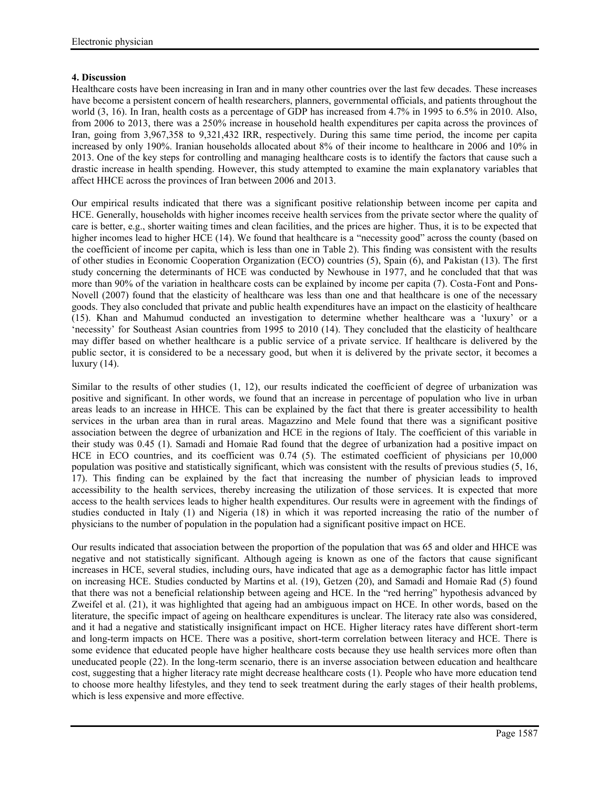# **4. Discussion**

Healthcare costs have been increasing in Iran and in many other countries over the last few decades. These increases have become a persistent concern of health researchers, planners, governmental officials, and patients throughout the world  $(3, 16)$ . In Iran, health costs as a percentage of GDP has increased from 4.7% in 1995 to 6.5% in 2010. Also, from 2006 to 2013, there was a 250% increase in household health expenditures per capita across the provinces of Iran, going from 3,967,358 to 9,321,432 IRR, respectively. During this same time period, the income per capita increased by only 190%. Iranian households allocated about 8% of their income to healthcare in 2006 and 10% in 2013. One of the key steps for controlling and managing healthcare costs is to identify the factors that cause such a drastic increase in health spending. However, this study attempted to examine the main explanatory variables that affect HHCE across the provinces of Iran between 2006 and 2013.

Our empirical results indicated that there was a significant positive relationship between income per capita and HCE. Generally, households with higher incomes receive health services from the private sector where the quality of care is better, e.g., shorter waiting times and clean facilities, and the prices are higher. Thus, it is to be expected that higher incomes lead to higher HCE (14). We found that healthcare is a "necessity good" across the county (based on the coefficient of income per capita, which is less than one in Table 2). This finding was consistent with the results of other studies in Economic Cooperation Organization (ECO) countries (5), Spain (6), and Pakistan (13). The first study concerning the determinants of HCE was conducted by Newhouse in 1977, and he concluded that that was more than 90% of the variation in healthcare costs can be explained by income per capita (7). Costa-Font and Pons- Novell (2007) found that the elasticity of healthcare was less than one and that healthcare is one of the necessary goods. They also concluded that private and public health expenditures have an impact on the elasticity of healthcare (15). Khan and Mahumud conducted an investigation to determine whether healthcare was a 'luxury' or a 'necessity' for Southeast Asian countries from 1995 to 2010 (14). They concluded that the elasticity of healthcare may differ based on whether healthcare is a public service of a private service. If healthcare is delivered by the public sector, it is considered to be a necessary good, but when it is delivered by the private sector, it becomes a luxury (14).

Similar to the results of other studies (1, 12), our results indicated the coefficient of degree of urbanization was positive and significant. In other words, we found that an increase in percentage of population who live in urban areas leads to an increase in HHCE. This can be explained by the fact that there is greater accessibility to health services in the urban area than in rural areas. Magazzino and Mele found that there was a significant positive association between the degree of urbanization and HCE in the regions of Italy. The coefficient of this variable in their study was 0.45 (1). Samadi and Homaie Rad found that the degree of urbanization had a positive impact on HCE in ECO countries, and its coefficient was 0.74 (5). The estimated coefficient of physicians per 10,000 population was positive and statistically significant, which was consistent with the results of previous studies (5, 16, 17). This finding can be explained by the fact that increasing the number of physician leads to improved accessibility to the health services, thereby increasing the utilization of those services. It is expected that more access to the health services leads to higher health expenditures. Our results were in agreement with the findings of studies conducted in Italy (1) and Nigeria (18) in which it was reported increasing the ratio of the number of physicians to the number of population in the population had a significant positive impact on HCE.

Our results indicated that association between the proportion of the population that was 65 and older and HHCE was negative and not statistically significant. Although ageing is known as one of the factors that cause significant increases in HCE, several studies, including ours, have indicated that age as a demographic factor has little impact on increasing HCE. Studies conducted by Martins et al. (19), Getzen (20), and Samadi and Homaie Rad (5) found that there was not a beneficial relationship between ageing and HCE. In the "red herring" hypothesis advanced by Zweifel et al. (21), it was highlighted that ageing had an ambiguous impact on HCE. In other words, based on the literature, the specific impact of ageing on healthcare expenditures is unclear. The literacy rate also was considered, and it had a negative and statistically insignificant impact on HCE. Higher literacy rates have different short-term and long-term impacts on HCE. There was a positive, short-term correlation between literacy and HCE. There is some evidence that educated people have higher healthcare costs because they use health services more often than uneducated people (22). In the long-term scenario, there is an inverse association between education and healthcare cost, suggesting that a higher literacy rate might decrease healthcare costs (1). People who have more education tend to choose more healthy lifestyles, and they tend to seek treatment during the early stages of their health problems, which is less expensive and more effective.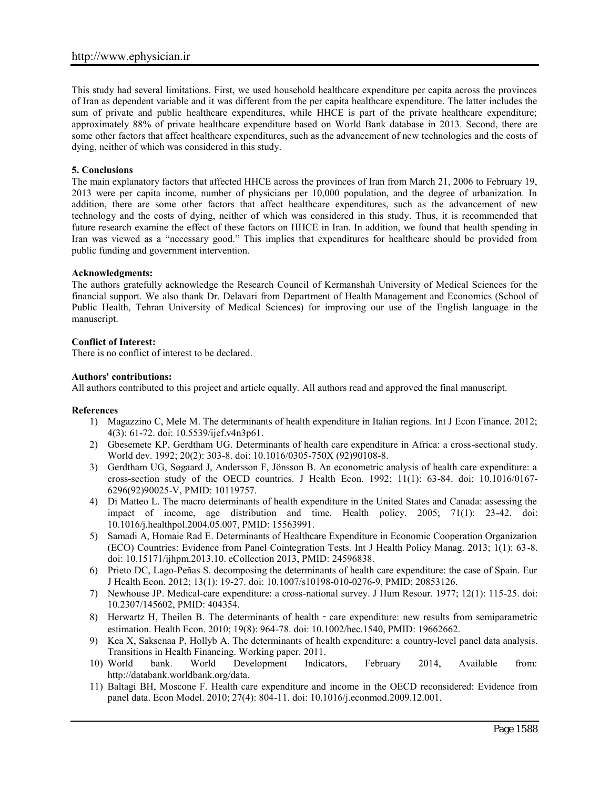This study had several limitations. First, we used household healthcare expenditure per capita across the provinces of Iran as dependent variable and it was different from the per capita healthcare expenditure. The latter includes the sum of private and public healthcare expenditures, while HHCE is part of the private healthcare expenditure; approximately 88% of private healthcare expenditure based on World Bank database in 2013. Second, there are some other factors that affect healthcare expenditures, such as the advancement of new technologies and the costs of dying, neither of which was considered in this study.

## **5. Conclusions**

The main explanatory factors that affected HHCE across the provinces of Iran from March 21, 2006 to February 19, 2013 were per capita income, number of physicians per 10,000 population, and the degree of urbanization. In addition, there are some other factors that affect healthcare expenditures, such as the advancement of new technology and the costs of dying, neither of which was considered in this study. Thus, it is recommended that future research examine the effect of these factors on HHCE in Iran. In addition, we found that health spending in Iran was viewed as a "necessary good." This implies that expenditures for healthcare should be provided from public funding and government intervention.

#### **Acknowledgments:**

The authors gratefully acknowledge the Research Council of Kermanshah University of Medical Sciences for the financial support. We also thank Dr. Delavari from Department of Health Management and Economics (School of Public Health, Tehran University of Medical Sciences) for improving our use of the English language in the manuscript.

### **Conflict of Interest:**

There is no conflict of interest to be declared.

### **Authors' contributions:**

All authors contributed to this project and article equally. All authors read and approved the final manuscript.

#### **References**

- 1) Magazzino C, Mele M. The determinants of health expenditure in Italian regions. Int J Econ Finance. 2012; 4(3): 61-72. doi: 10.5539/ijef.v4n3p61.
- 2) Gbesemete KP, Gerdtham UG. Determinants of health care expenditure in Africa: a cross-sectional study. World dev. 1992; 20(2): 303-8. doi: 10.1016/0305-750X (92)90108-8.
- 3) Gerdtham UG, Søgaard J, Andersson F, Jönsson B. An econometric analysis of health care expenditure: a cross-section study of the OECD countries. J Health Econ. 1992; 11(1): 63-84. doi: 10.1016/0167- 6296(92)90025-V, PMID: 10119757.
- 4) Di Matteo L. The macro determinants of health expenditure in the United States and Canada: assessing the impact of income, age distribution and time. Health policy. 2005; 71(1): 23-42. doi: 10.1016/j.healthpol.2004.05.007, PMID: 15563991.
- 5) Samadi A, Homaie Rad E. Determinants of Healthcare Expenditure in Economic Cooperation Organization (ECO) Countries: Evidence from Panel Cointegration Tests. Int J Health Policy Manag. 2013; 1(1): 63-8. doi: 10.15171/ijhpm.2013.10. eCollection 2013, PMID: 24596838.
- 6) Prieto DC, Lago-Peñas S. decomposing the determinants of health care expenditure: the case of Spain. Eur J Health Econ. 2012; 13(1): 19-27. doi: 10.1007/s10198-010-0276-9, PMID: 20853126.
- 7) Newhouse JP. Medical-care expenditure: a cross-national survey. J Hum Resour. 1977; 12(1): 115-25. doi: 10.2307/145602, PMID: 404354.
- 8) Herwartz H, Theilen B. The determinants of health care expenditure: new results from semiparametric estimation. Health Econ. 2010; 19(8): 964-78. doi: 10.1002/hec.1540, PMID: 19662662.
- 9) Kea X, Saksenaa P, Hollyb A. The determinants of health expenditure: a country-level panel data analysis. Transitions in Health Financing. Working paper. 2011.<br>10) World bank. World Development Indicators.
- Development Indicators, February 2014, Available from: http://databank.worldbank.org/data.
- 11) Baltagi BH, Moscone F. Health care expenditure and income in the OECD reconsidered: Evidence from panel data. Econ Model. 2010; 27(4): 804-11. doi: 10.1016/j.econmod.2009.12.001.